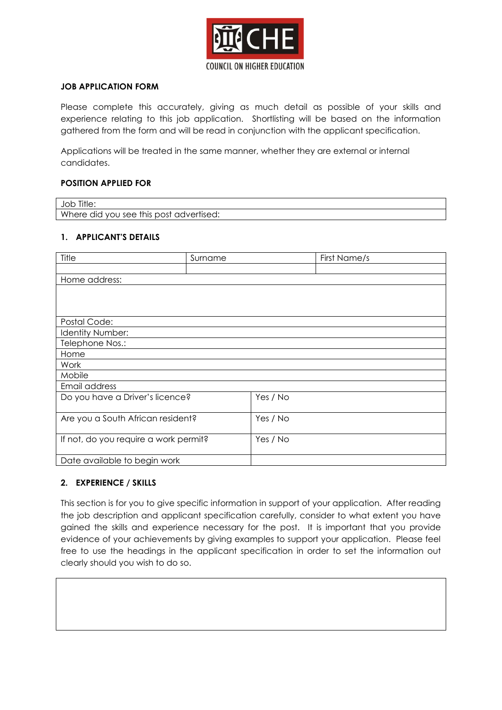

# **JOB APPLICATION FORM**

Please complete this accurately, giving as much detail as possible of your skills and experience relating to this job application. Shortlisting will be based on the information gathered from the form and will be read in conjunction with the applicant specification.

Applications will be treated in the same manner, whether they are external or internal candidates.

## **POSITION APPLIED FOR**

| Job Title:                              |  |
|-----------------------------------------|--|
| Where did you see this post advertised: |  |

## **1. APPLICANT'S DETAILS**

| Title                                 | Surname |          | First Name/s |
|---------------------------------------|---------|----------|--------------|
|                                       |         |          |              |
| Home address:                         |         |          |              |
|                                       |         |          |              |
|                                       |         |          |              |
|                                       |         |          |              |
| Postal Code:                          |         |          |              |
| Identity Number:                      |         |          |              |
| Telephone Nos.:                       |         |          |              |
| Home                                  |         |          |              |
| Work                                  |         |          |              |
| Mobile                                |         |          |              |
| Email address                         |         |          |              |
| Do you have a Driver's licence?       |         | Yes / No |              |
|                                       |         |          |              |
| Are you a South African resident?     |         | Yes / No |              |
|                                       |         |          |              |
| If not, do you require a work permit? |         | Yes / No |              |
|                                       |         |          |              |
| Date available to begin work          |         |          |              |

## **2. EXPERIENCE / SKILLS**

This section is for you to give specific information in support of your application. After reading the job description and applicant specification carefully, consider to what extent you have gained the skills and experience necessary for the post. It is important that you provide evidence of your achievements by giving examples to support your application. Please feel free to use the headings in the applicant specification in order to set the information out clearly should you wish to do so.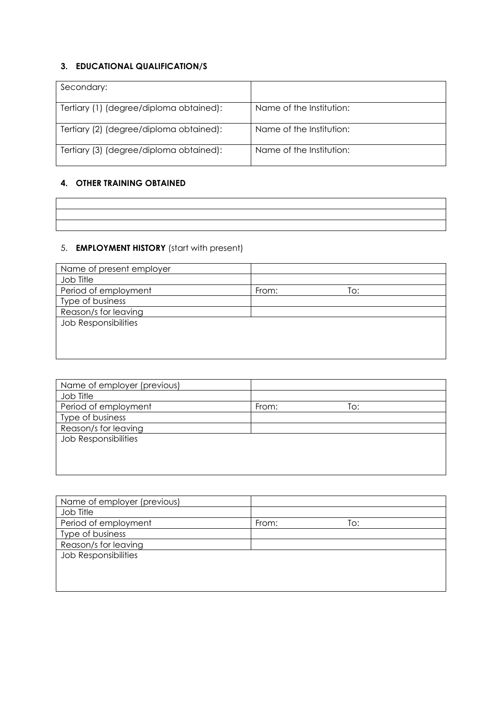# **3. EDUCATIONAL QUALIFICATION/S**

| Secondary:                              |                          |
|-----------------------------------------|--------------------------|
| Tertiary (1) (degree/diploma obtained): | Name of the Institution: |
| Tertiary (2) (degree/diploma obtained): | Name of the Institution: |
| Tertiary (3) (degree/diploma obtained): | Name of the Institution: |

# **4. OTHER TRAINING OBTAINED**

# 5. **EMPLOYMENT HISTORY** (start with present)

| Name of present employer    |              |
|-----------------------------|--------------|
| Job Title                   |              |
| Period of employment        | To:<br>From: |
| Type of business            |              |
| Reason/s for leaving        |              |
| <b>Job Responsibilities</b> |              |
|                             |              |
|                             |              |
|                             |              |

| Name of employer (previous) |       |     |  |
|-----------------------------|-------|-----|--|
| Job Title                   |       |     |  |
| Period of employment        | From: | To: |  |
| Type of business            |       |     |  |
| Reason/s for leaving        |       |     |  |
| <b>Job Responsibilities</b> |       |     |  |
|                             |       |     |  |
|                             |       |     |  |
|                             |       |     |  |

| Name of employer (previous) |              |
|-----------------------------|--------------|
| Job Title                   |              |
| Period of employment        | From:<br>To: |
| Type of business            |              |
| Reason/s for leaving        |              |
| <b>Job Responsibilities</b> |              |
|                             |              |
|                             |              |
|                             |              |